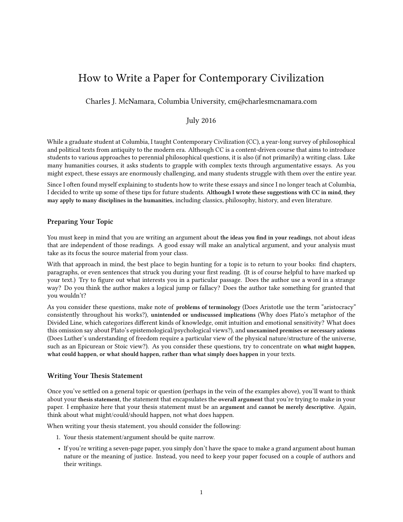# How to Write a Paper for Contemporary Civilization

Charles J. McNamara, Columbia University, cm@charlesmcnamara.com

## July 2016

While a graduate student at Columbia, I taught Contemporary Civilization (CC), a year-long survey of philosophical and political texts from antiquity to the modern era. Although CC is a content-driven course that aims to introduce students to various approaches to perennial philosophical questions, it is also (if not primarily) a writing class. Like many humanities courses, it asks students to grapple with complex texts through argumentative essays. As you might expect, these essays are enormously challenging, and many students struggle with them over the entire year.

Since I often found myself explaining to students how to write these essays and since I no longer teach at Columbia, I decided to write up some of these tips for future students. **Although I wrote these suggestions with CC in mind, they may apply to many disciplines in the humanities**, including classics, philosophy, history, and even literature.

#### **Preparing Your Topic**

You must keep in mind that you are writing an argument about **the ideas you find in your readings**, not about ideas that are independent of those readings. A good essay will make an analytical argument, and your analysis must take as its focus the source material from your class.

With that approach in mind, the best place to begin hunting for a topic is to return to your books: find chapters, paragraphs, or even sentences that struck you during your first reading. (It is of course helpful to have marked up your text.) Try to figure out what interests you in a particular passage. Does the author use a word in a strange way? Do you think the author makes a logical jump or fallacy? Does the author take something for granted that you wouldn't?

As you consider these questions, make note of **problems of terminology** (Does Aristotle use the term "aristocracy" consistently throughout his works?), **unintended or undiscussed implications** (Why does Plato's metaphor of the Divided Line, which categorizes different kinds of knowledge, omit intuition and emotional sensitivity? What does this omission say about Plato's epistemological/psychological views?), and **unexamined premises or necessary axioms** (Does Luther's understanding of freedom require a particular view of the physical nature/structure of the universe, such as an Epicurean or Stoic view?). As you consider these questions, try to concentrate on **what might happen, what could happen, or what should happen, rather than what simply does happen** in your texts.

#### **Writing Your Thesis Statement**

Once you've settled on a general topic or question (perhaps in the vein of the examples above), you'll want to think about your **thesis statement**, the statement that encapsulates the **overall argument** that you're trying to make in your paper. I emphasize here that your thesis statement must be an **argument** and **cannot be merely descriptive**. Again, think about what might/could/should happen, not what does happen.

When writing your thesis statement, you should consider the following:

- 1. Your thesis statement/argument should be quite narrow.
- If you're writing a seven-page paper, you simply don't have the space to make a grand argument about human nature or the meaning of justice. Instead, you need to keep your paper focused on a couple of authors and their writings.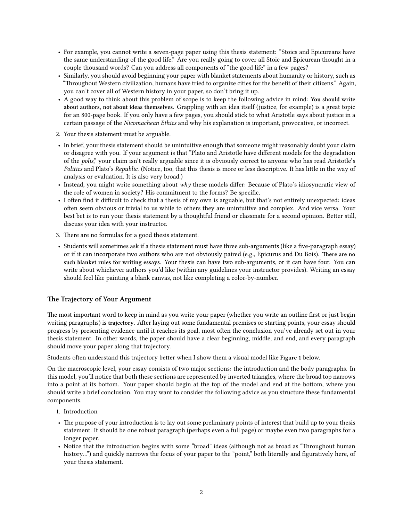- For example, you cannot write a seven-page paper using this thesis statement: "Stoics and Epicureans have the same understanding of the good life." Are you really going to cover all Stoic and Epicurean thought in a couple thousand words? Can you address all components of "the good life" in a few pages?
- Similarly, you should avoid beginning your paper with blanket statements about humanity or history, such as "Throughout Western civilization, humans have tried to organize cities for the benefit of their citizens." Again, you can't cover all of Western history in your paper, so don't bring it up.
- A good way to think about this problem of scope is to keep the following advice in mind: **You should write about authors, not about ideas themselves.** Grappling with an idea itself (justice, for example) is a great topic for an 800-page book. If you only have a few pages, you should stick to what Aristotle says about justice in a certain passage of the *Nicomachean Ethics* and why his explanation is important, provocative, or incorrect.
- 2. Your thesis statement must be arguable.
- In brief, your thesis statement should be unintuitive enough that someone might reasonably doubt your claim or disagree with you. If your argument is that "Plato and Aristotle have different models for the degradation of the *polis*," your claim isn't really arguable since it is obviously correct to anyone who has read Aristotle's *Politics* and Plato's *Republic*. (Notice, too, that this thesis is more or less descriptive. It has little in the way of analysis or evaluation. It is also very broad.)
- Instead, you might write something about *why* these models differ: Because of Plato's idiosyncratic view of the role of women in society? His commitment to the forms? Be specific.
- I often find it difficult to check that a thesis of my own is arguable, but that's not entirely unexpected: ideas often seem obvious or trivial to us while to others they are unintuitive and complex. And vice versa. Your best bet is to run your thesis statement by a thoughtful friend or classmate for a second opinion. Better still, discuss your idea with your instructor.
- 3. There are no formulas for a good thesis statement.
- Students will sometimes ask if a thesis statement must have three sub-arguments (like a five-paragraph essay) or if it can incorporate two authors who are not obviously paired (e.g., Epicurus and Du Bois). **There are no such blanket rules for writing essays.** Your thesis can have two sub-arguments, or it can have four. You can write about whichever authors you'd like (within any guidelines your instructor provides). Writing an essay should feel like painting a blank canvas, not like completing a color-by-number.

## **The Trajectory of Your Argument**

The most important word to keep in mind as you write your paper (whether you write an outline first or just begin writing paragraphs) is **trajectory**. After laying out some fundamental premises or starting points, your essay should progress by presenting evidence until it reaches its goal, most often the conclusion you've already set out in your thesis statement. In other words, the paper should have a clear beginning, middle, and end, and every paragraph should move your paper along that trajectory.

Students often understand this trajectory better when I show them a visual model like **Figure 1** below.

On the macroscopic level, your essay consists of two major sections: the introduction and the body paragraphs. In this model, you'll notice that both these sections are represented by inverted triangles, where the broad top narrows into a point at its bottom. Your paper should begin at the top of the model and end at the bottom, where you should write a brief conclusion. You may want to consider the following advice as you structure these fundamental components.

- 1. Introduction
- The purpose of your introduction is to lay out some preliminary points of interest that build up to your thesis statement. It should be one robust paragraph (perhaps even a full page) or maybe even two paragraphs for a longer paper.
- Notice that the introduction begins with some "broad" ideas (although not as broad as "Throughout human history...") and quickly narrows the focus of your paper to the "point," both literally and figuratively here, of your thesis statement.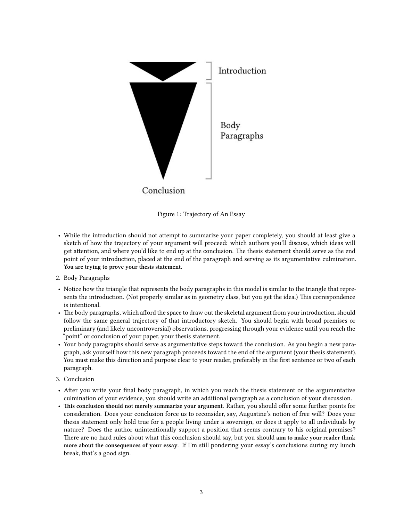

Figure 1: Trajectory of An Essay

- While the introduction should not attempt to summarize your paper completely, you should at least give a sketch of how the trajectory of your argument will proceed: which authors you'll discuss, which ideas will get attention, and where you'd like to end up at the conclusion. The thesis statement should serve as the end point of your introduction, placed at the end of the paragraph and serving as its argumentative culmination. **You are trying to prove your thesis statement.**
- 2. Body Paragraphs
- Notice how the triangle that represents the body paragraphs in this model is similar to the triangle that represents the introduction. (Not properly similar as in geometry class, but you get the idea.) This correspondence is intentional.
- The body paragraphs, which afford the space to draw out the skeletal argument from your introduction, should follow the same general trajectory of that introductory sketch. You should begin with broad premises or preliminary (and likely uncontroversial) observations, progressing through your evidence until you reach the "point" or conclusion of your paper, your thesis statement.
- Your body paragraphs should serve as argumentative steps toward the conclusion. As you begin a new paragraph, ask yourself how this new paragraph proceeds toward the end of the argument (your thesis statement). You **must** make this direction and purpose clear to your reader, preferably in the first sentence or two of each paragraph.
- 3. Conclusion
- After you write your final body paragraph, in which you reach the thesis statement or the argumentative culmination of your evidence, you should write an additional paragraph as a conclusion of your discussion.
- **This conclusion should not merely summarize your argument.** Rather, you should offer some further points for consideration. Does your conclusion force us to reconsider, say, Augustine's notion of free will? Does your thesis statement only hold true for a people living under a sovereign, or does it apply to all individuals by nature? Does the author unintentionally support a position that seems contrary to his original premises? There are no hard rules about what this conclusion should say, but you should **aim to make your reader think more about the consequences of your essay**. If I'm still pondering your essay's conclusions during my lunch break, that's a good sign.